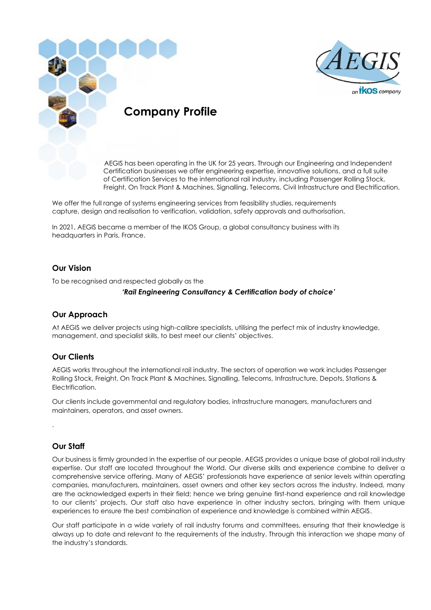



AEGIS has been operating in the UK for 25 years. Through our Engineering and Independent Certification businesses we offer engineering expertise, innovative solutions, and a full suite of Certification Services to the international rail industry, including Passenger Rolling Stock, Freight, On Track Plant & Machines, Signalling, Telecoms, Civil Infrastructure and Electrification.

We offer the full range of systems engineering services from feasibility studies, requirements capture, design and realisation to verification, validation, safety approvals and authorisation.

In 2021, AEGIS became a member of the IKOS Group, a global consultancy business with its headquarters in Paris, France.

## **Our Vision**

To be recognised and respected globally as the

#### *'Rail Engineering Consultancy & Certification body of choice'*

#### **Our Approach**

At AEGIS we deliver projects using high-calibre specialists, utilising the perfect mix of industry knowledge, management, and specialist skills, to best meet our clients' objectives.

## **Our Clients**

AEGIS works throughout the international rail industry. The sectors of operation we work includes Passenger Rolling Stock, Freight, On Track Plant & Machines, Signalling, Telecoms, Infrastructure, Depots, Stations & Electrification.

Our clients include governmental and regulatory bodies, infrastructure managers, manufacturers and maintainers, operators, and asset owners.

## **Our Staff**

.

Our business is firmly grounded in the expertise of our people. AEGIS provides a unique base of global rail industry expertise. Our staff are located throughout the World. Our diverse skills and experience combine to deliver a comprehensive service offering. Many of AEGIS' professionals have experience at senior levels within operating companies, manufacturers, maintainers, asset owners and other key sectors across the industry. Indeed, many are the acknowledged experts in their field; hence we bring genuine first-hand experience and rail knowledge to our clients' projects. Our staff also have experience in other industry sectors, bringing with them unique experiences to ensure the best combination of experience and knowledge is combined within AEGIS.

Our staff participate in a wide variety of rail industry forums and committees, ensuring that their knowledge is always up to date and relevant to the requirements of the industry. Through this interaction we shape many of the industry's standards.